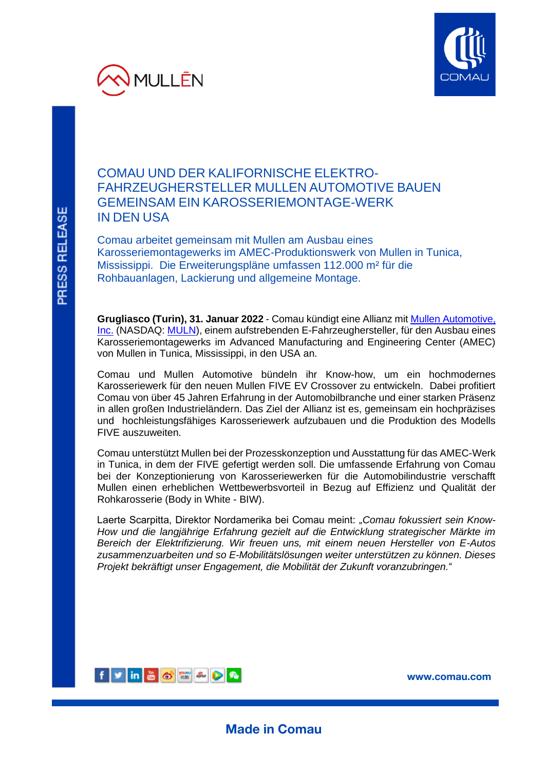



# COMAU UND DER KALIFORNISCHE ELEKTRO-FAHRZEUGHERSTELLER MULLEN AUTOMOTIVE BAUEN GEMEINSAM EIN KAROSSERIEMONTAGE-WERK IN DEN USA

Comau arbeitet gemeinsam mit Mullen am Ausbau eines Karosseriemontagewerks im AMEC-Produktionswerk von Mullen in Tunica, Mississippi. Die Erweiterungspläne umfassen 112.000 m² für die Rohbauanlagen, Lackierung und allgemeine Montage.

**Grugliasco (Turin), 31. Januar 2022** - Comau kündigt eine Allianz mit [Mullen Automotive,](https://www.mullenusa.com/)  [Inc.](https://www.mullenusa.com/) (NASDAQ: [MULN\)](https://www.nasdaq.com/market-activity/stocks/muln), einem aufstrebenden E-Fahrzeughersteller, für den Ausbau eines Karosseriemontagewerks im Advanced Manufacturing and Engineering Center (AMEC) von Mullen in Tunica, Mississippi, in den USA an.

Comau und Mullen Automotive bündeln ihr Know-how, um ein hochmodernes Karosseriewerk für den neuen Mullen FIVE EV Crossover zu entwickeln. Dabei profitiert Comau von über 45 Jahren Erfahrung in der Automobilbranche und einer starken Präsenz in allen großen Industrieländern. Das Ziel der Allianz ist es, gemeinsam ein hochpräzises und hochleistungsfähiges Karosseriewerk aufzubauen und die Produktion des Modells FIVE auszuweiten.

Comau unterstützt Mullen bei der Prozesskonzeption und Ausstattung für das AMEC-Werk in Tunica, in dem der FIVE gefertigt werden soll. Die umfassende Erfahrung von Comau bei der Konzeptionierung von Karosseriewerken für die Automobilindustrie verschafft Mullen einen erheblichen Wettbewerbsvorteil in Bezug auf Effizienz und Qualität der Rohkarosserie (Body in White - BIW).

Laerte Scarpitta, Direktor Nordamerika bei Comau meint: "*Comau fokussiert sein Know-How und die langjährige Erfahrung gezielt auf die Entwicklung strategischer Märkte im Bereich der Elektrifizierung. Wir freuen uns, mit einem neuen Hersteller von E-Autos zusammenzuarbeiten und so E-Mobilitätslösungen weiter unterstützen zu können. Dieses Projekt bekräftigt unser Engagement, die Mobilität der Zukunft voranzubringen.*"



**www.comau.com**

I j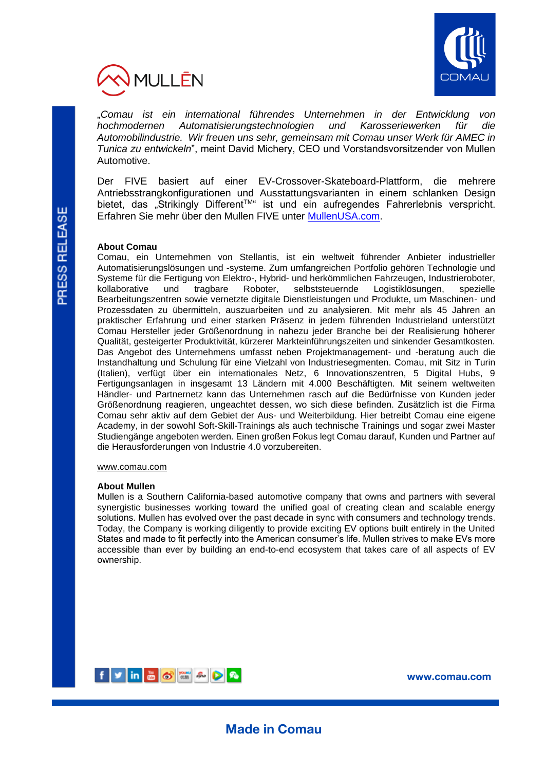



"*Comau ist ein international führendes Unternehmen in der Entwicklung von hochmodernen Automatisierungstechnologien und Karosseriewerken für die Automobilindustrie. Wir freuen uns sehr, gemeinsam mit Comau unser Werk für AMEC in Tunica zu entwickeln*", meint David Michery, CEO und Vorstandsvorsitzender von Mullen Automotive.

Der FIVE basiert auf einer EV-Crossover-Skateboard-Plattform, die mehrere Antriebsstrangkonfigurationen und Ausstattungsvarianten in einem schlanken Design bietet, das "Strikingly Different<sup>™</sup> ist und ein aufregendes Fahrerlebnis verspricht. Erfahren Sie mehr über den Mullen FIVE unter [MullenUSA.com.](https://www.mullenusa.com/)

## **About Comau**

Comau, ein Unternehmen von Stellantis, ist ein weltweit führender Anbieter industrieller Automatisierungslösungen und -systeme. Zum umfangreichen Portfolio gehören Technologie und Systeme für die Fertigung von Elektro-, Hybrid- und herkömmlichen Fahrzeugen, Industrieroboter, kollaborative und tragbare Roboter, selbststeuernde Logistiklösungen, spezielle Bearbeitungszentren sowie vernetzte digitale Dienstleistungen und Produkte, um Maschinen- und Prozessdaten zu übermitteln, auszuarbeiten und zu analysieren. Mit mehr als 45 Jahren an praktischer Erfahrung und einer starken Präsenz in jedem führenden Industrieland unterstützt Comau Hersteller jeder Größenordnung in nahezu jeder Branche bei der Realisierung höherer Qualität, gesteigerter Produktivität, kürzerer Markteinführungszeiten und sinkender Gesamtkosten. Das Angebot des Unternehmens umfasst neben Projektmanagement- und -beratung auch die Instandhaltung und Schulung für eine Vielzahl von Industriesegmenten. Comau, mit Sitz in Turin (Italien), verfügt über ein internationales Netz, 6 Innovationszentren, 5 Digital Hubs, 9 Fertigungsanlagen in insgesamt 13 Ländern mit 4.000 Beschäftigten. Mit seinem weltweiten Händler- und Partnernetz kann das Unternehmen rasch auf die Bedürfnisse von Kunden jeder Größenordnung reagieren, ungeachtet dessen, wo sich diese befinden. Zusätzlich ist die Firma Comau sehr aktiv auf dem Gebiet der Aus- und Weiterbildung. Hier betreibt Comau eine eigene Academy, in der sowohl Soft-Skill-Trainings als auch technische Trainings und sogar zwei Master Studiengänge angeboten werden. Einen großen Fokus legt Comau darauf, Kunden und Partner auf die Herausforderungen von Industrie 4.0 vorzubereiten.

#### [www.comau.com](http://www.comau.com/)

#### **About Mullen**

Mullen is a Southern California-based automotive company that owns and partners with several synergistic businesses working toward the unified goal of creating clean and scalable energy solutions. Mullen has evolved over the past decade in sync with consumers and technology trends. Today, the Company is working diligently to provide exciting EV options built entirely in the United States and made to fit perfectly into the American consumer's life. Mullen strives to make EVs more accessible than ever by building an end-to-end ecosystem that takes care of all aspects of EV ownership.



**www.comau.com**

I j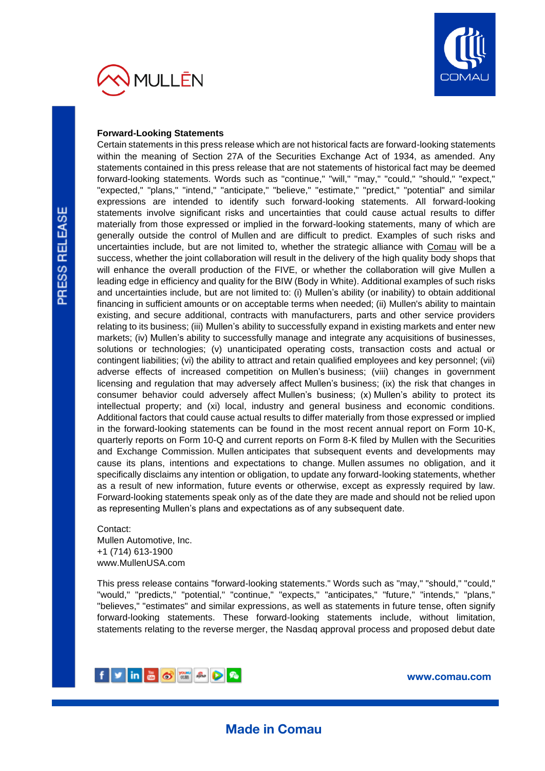



## **Forward-Looking Statements**

Certain statements in this press release which are not historical facts are forward-looking statements within the meaning of Section 27A of the Securities Exchange Act of 1934, as amended. Any statements contained in this press release that are not statements of historical fact may be deemed forward-looking statements. Words such as "continue," "will," "may," "could," "should," "expect," "expected," "plans," "intend," "anticipate," "believe," "estimate," "predict," "potential" and similar expressions are intended to identify such forward-looking statements. All forward-looking statements involve significant risks and uncertainties that could cause actual results to differ materially from those expressed or implied in the forward-looking statements, many of which are generally outside the control of Mullen and are difficult to predict. Examples of such risks and uncertainties include, but are not limited to, whether the strategic alliance with [Comau](https://www.comau.com/en/) will be a success, whether the joint collaboration will result in the delivery of the high quality body shops that will enhance the overall production of the FIVE, or whether the collaboration will give Mullen a leading edge in efficiency and quality for the BIW (Body in White). Additional examples of such risks and uncertainties include, but are not limited to: (i) Mullen's ability (or inability) to obtain additional financing in sufficient amounts or on acceptable terms when needed; (ii) Mullen's ability to maintain existing, and secure additional, contracts with manufacturers, parts and other service providers relating to its business; (iii) Mullen's ability to successfully expand in existing markets and enter new markets; (iv) Mullen's ability to successfully manage and integrate any acquisitions of businesses, solutions or technologies; (v) unanticipated operating costs, transaction costs and actual or contingent liabilities; (vi) the ability to attract and retain qualified employees and key personnel; (vii) adverse effects of increased competition on Mullen's business; (viii) changes in government licensing and regulation that may adversely affect Mullen's business; (ix) the risk that changes in consumer behavior could adversely affect Mullen's business; (x) Mullen's ability to protect its intellectual property; and (xi) local, industry and general business and economic conditions. Additional factors that could cause actual results to differ materially from those expressed or implied in the forward-looking statements can be found in the most recent annual report on Form 10-K, quarterly reports on Form 10-Q and current reports on Form 8-K filed by Mullen with the Securities and Exchange Commission. Mullen anticipates that subsequent events and developments may cause its plans, intentions and expectations to change. Mullen assumes no obligation, and it specifically disclaims any intention or obligation, to update any forward-looking statements, whether as a result of new information, future events or otherwise, except as expressly required by law. Forward-looking statements speak only as of the date they are made and should not be relied upon as representing Mullen's plans and expectations as of any subsequent date.

## Contact: Mullen Automotive, Inc. +1 (714) 613-1900 www.MullenUSA.com

This press release contains "forward-looking statements." Words such as "may," "should," "could," "would," "predicts," "potential," "continue," "expects," "anticipates," "future," "intends," "plans," "believes," "estimates" and similar expressions, as well as statements in future tense, often signify forward-looking statements. These forward-looking statements include, without limitation, statements relating to the reverse merger, the Nasdaq approval process and proposed debut date



**www.comau.com**

I j